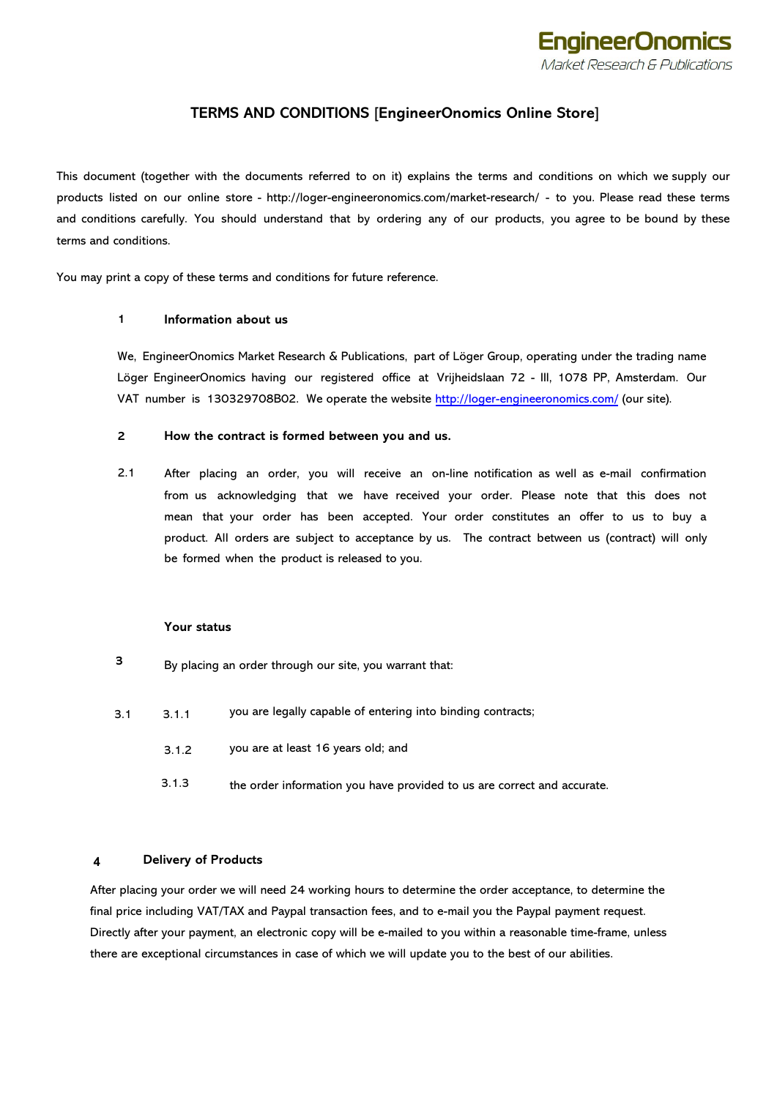

# **TERMS AND CONDITIONS [EngineerOnomics Online Store]**

This document (together with the documents referred to on it) explains the terms and conditions on which we supply our products listed on our online store - http://loger-engineeronomics.com/market-research/ - to you. Please read these terms and conditions carefully. You should understand that by ordering any of our products, you agree to be bound by these terms and conditions.

You may print a copy of these terms and conditions for future reference.

### **1 Information about us**

We, EngineerOnomics Market Research & Publications, part of Löger Group, operating under the trading name Löger EngineerOnomics having our registered office at Vrijheidslaan 72 - III, 1078 PP, Amsterdam. Our VAT number is 13032[9708B02. We operate th](https://store.gcu.ac.uk/)e website http://loger-engineeronomics.com/ (our site).

#### **2 How the contract is formed between you and us.**

2.1 After placing an order, you will receive an on-line notification as well as e-mail confirmation from us acknowledging that we have received your order. Please note that this does not mean that your order has been accepted. Your order constitutes an offer to us to buy a product. All orders are subject to acceptance by us. The contract between us (contract) will only be formed when the product is released to you.

#### **Your status**

- **3**  By placing an order through our site, you warrant that:
- 3.1 3.1.1 you are legally capable of entering into binding contracts;
	- 3.1.2 you are at least 16 years old; and
	- 3.1.3 the order information you have provided to us are correct and accurate.

### **4 Delivery of Products**

After placing your order we will need 24 working hours to determine the order acceptance, to determine the final price including VAT/TAX and Paypal transaction fees, and to e-mail you the Paypal payment request. Directly after your payment, an electronic copy will be e-mailed to you within a reasonable time-frame, unless there are exceptional circumstances in case of which we will update you to the best of our abilities.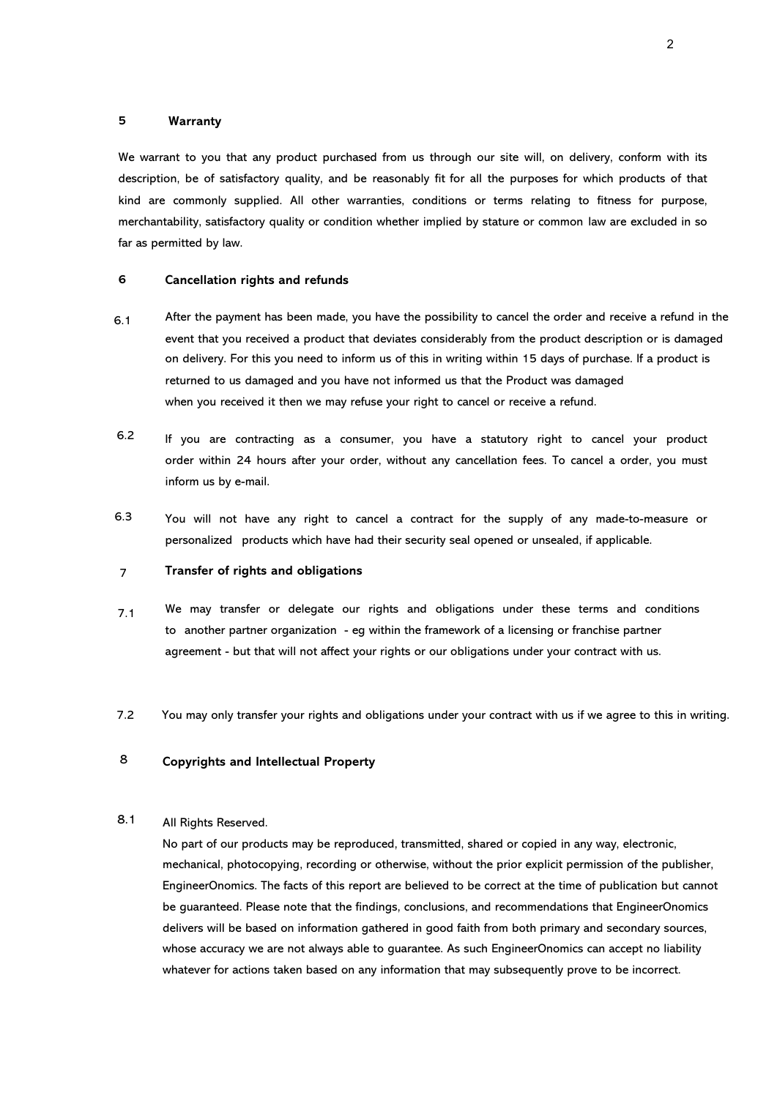## **5 Warranty**

We warrant to you that any product purchased from us through our site will, on delivery, conform with its description, be of satisfactory quality, and be reasonably fit for all the purposes for which products of that kind are commonly supplied. All other warranties, conditions or terms relating to fitness for purpose, merchantability, satisfactory quality or condition whether implied by stature or common law are excluded in so far as permitted by law.

#### **6 Cancellation rights and refunds**

- 6.1 After the payment has been made, you have the possibility to cancel the order and receive a refund in the event that you received a product that deviates considerably from the product description or is damaged on delivery. For this you need to inform us of this in writing within 15 days of purchase. If a product is returned to us damaged and you have not informed us that the Product was damaged when you received it then we may refuse your right to cancel or receive a refund.
- 6.2 If you are contracting as a consumer, you have a statutory right to cancel your product order within 24 hours after your order, without any cancellation fees. To cancel a order, you must inform us by e-mail.
- 6.3 You will not have any right to cancel a contract for the supply of any made-to-measure or personalized products which have had their security seal opened or unsealed, if applicable.

#### 7 **Transfer of rights and obligations**

- 7.1 We may transfer or delegate our rights and obligations under these terms and conditions to another partner organization - eg within the framework of a licensing or franchise partner agreement - but that will not affect your rights or our obligations under your contract with us.
- You may only transfer your rights and obligations under your contract with us if we agree to this in writing. 7.2

#### **Copyrights and Intellectual Property** 8

#### All Rights Reserved. 8.1

No part of our products may be reproduced, transmitted, shared or copied in any way, electronic, mechanical, photocopying, recording or otherwise, without the prior explicit permission of the publisher, EngineerOnomics. The facts of this report are believed to be correct at the time of publication but cannot be guaranteed. Please note that the findings, conclusions, and recommendations that EngineerOnomics delivers will be based on information gathered in good faith from both primary and secondary sources, whose accuracy we are not always able to guarantee. As such EngineerOnomics can accept no liability whatever for actions taken based on any information that may subsequently prove to be incorrect.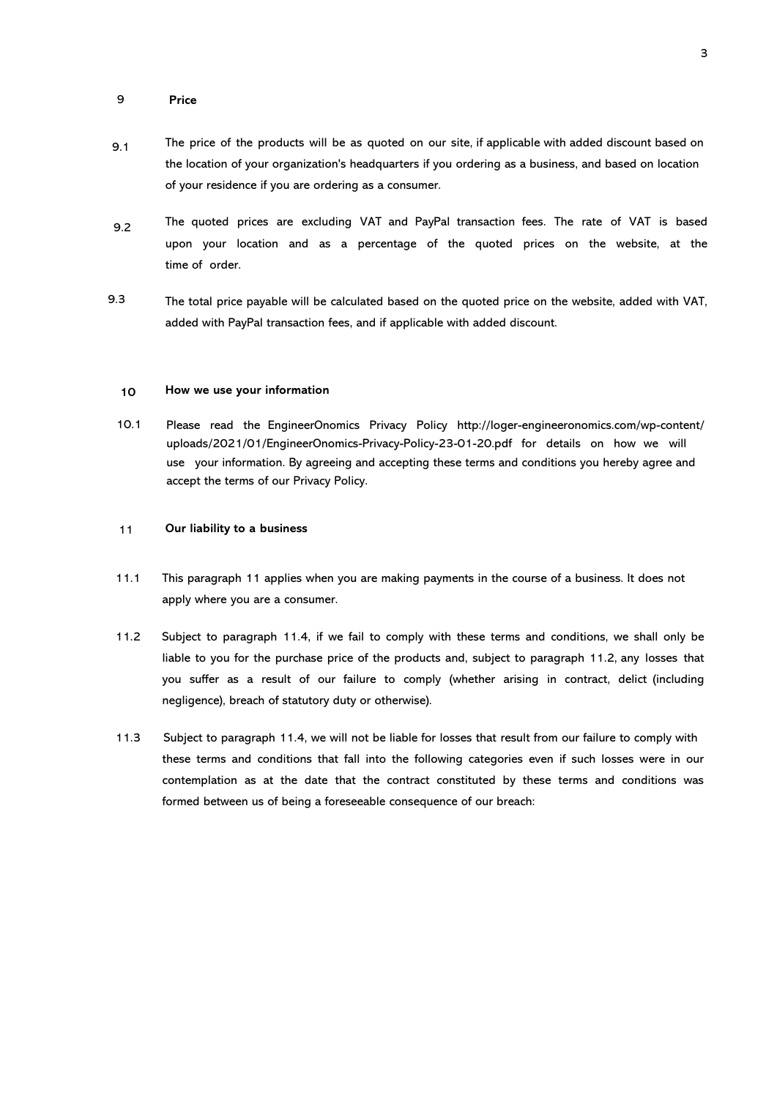#### 9 **Price**

- 9.1 The price of the products will be as quoted on our site, if applicable with added discount based on the location of your organization's headquarters if you ordering as a business, and based on location of your residence if you are ordering as a consumer.
- 9.2 The quoted prices are excluding VAT and PayPal transaction fees. The rate of VAT is based upon your location and as a percentage of the quoted prices on the website, at the time of order.
- The total price payable will be calculated based on the quoted price on the website, added with VAT, added with PayPal transaction fees, and if applicable with added discount. 9.3

#### **10 How we use your information**

10.1 Please read the EngineerOnomics Privacy Policy http://loger-engineeronomics.com/wp-content/ uploads/2021/01/EngineerOnomics-Privacy-Policy-23-01-20.pdf for details on how we will use your information. By agreeing and accepting these terms and conditions you hereby agree and accept the terms of our Privacy Policy.

#### 11 **Our liability to a business**

- 11.1 This paragraph 11 applies when you are making payments in the course of a business. It does not apply where you are a consumer.
- 11.2 Subject to paragraph 1[1.4,](http://commercial.practicallaw.com/2-201-7012?source=relatedcontent#a623687#a623687) if we fail to comply with these terms and conditions, we shall only be liable to you for the purchase price of the products and, subject to [paragraph 11.2,](http://commercial.practicallaw.com/2-201-7012?source=relatedcontent#a463467#a463467) any losses that you suffer as a result of our failure to comply (whether arising in contract, delict (including negligence), breach of statutory duty or otherwise).
- 11.3 Subject to paragraph 11.4, we will not be liable for losses that result from our failure to comply with these terms and conditions that fall into the following categories even if such losses were in our contemplation as at the date that the contract constituted by these terms and conditions was formed between us of being a foreseeable consequence of our breach: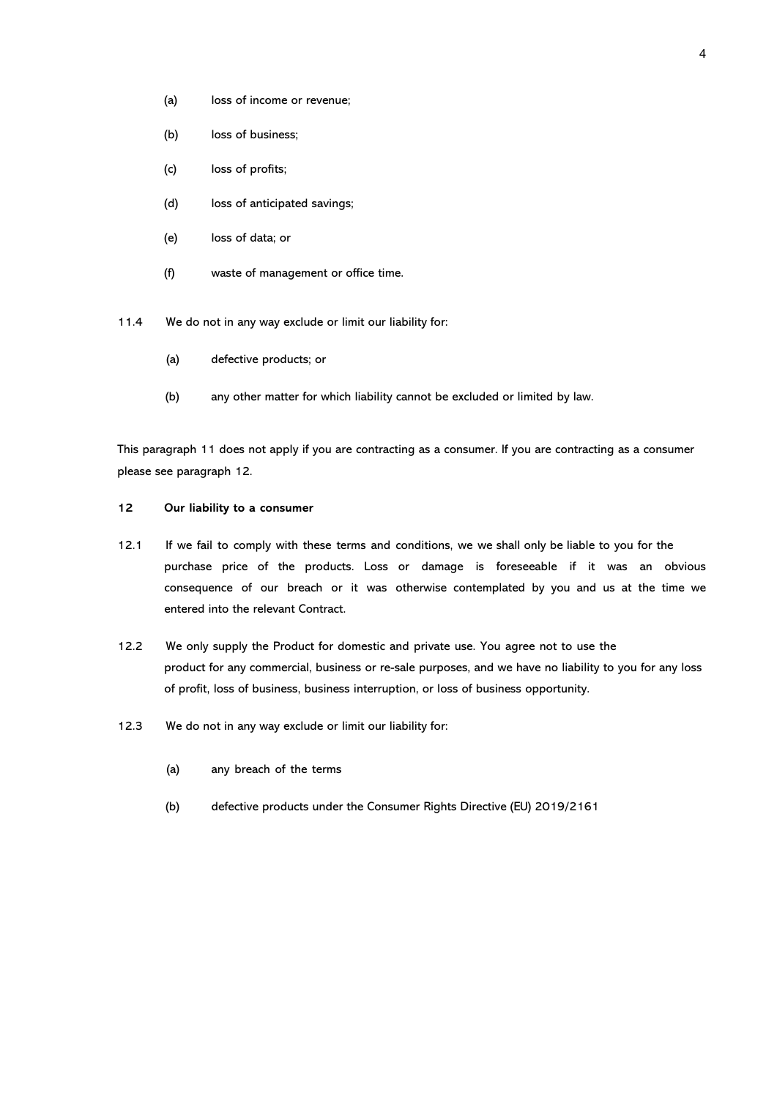- (a) loss of income or revenue;
- (b) loss of business;
- (c) loss of profits;
- (d) loss of anticipated savings;
- (e) loss of data; or
- (f) waste of management or office time.
- 11.4 We do not in any way exclude or limit our liability for:
	- (a) defective products; or
	- (b) any other matter for which liability cannot be excluded or limited by law.

This paragraph 11 does not apply if you are contracting as a consumer. If you are contracting as a consumer please see paragraph 12.

### **12 Our liability to a consumer**

- 12.1 If we fail to comply with these terms and conditions, we we shall only be liable to you for the purchase price of the products. Loss or damage is foreseeable if it was an obvious consequence of our breach or it was otherwise contemplated by you and us at the time we entered into the relevant Contract.
- 12.2 We only supply the Product for domestic and private use. You agree not to use the product for any commercial, business or re-sale purposes, and we have no liability to you for any loss of profit, loss of business, business interruption, or loss of business opportunity.
- 12.3 We do not in any way exclude or limit our liability for:
	- (a) any breach of the terms
	- (b) defective products under the Consumer Rights Directive (EU) 2019/2161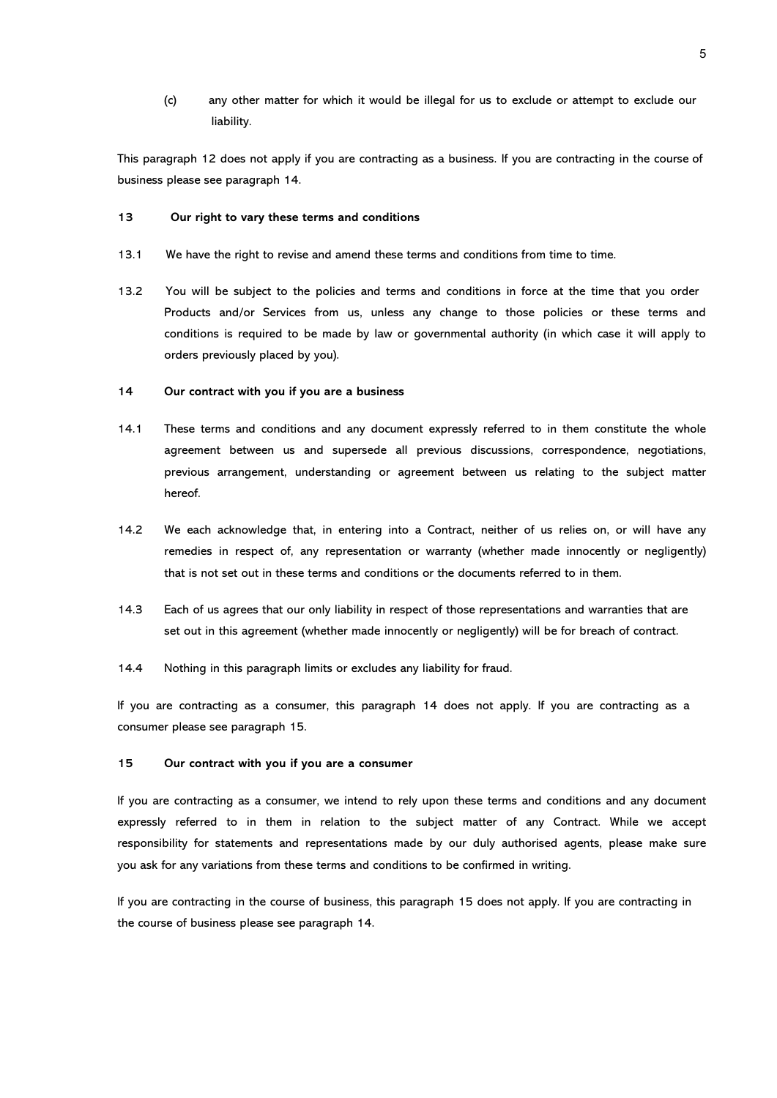(c) any other matter for which it would be illegal for us to exclude or attempt to exclude our liability.

This paragraph 12 does not apply if you are contracting as a business. If you are contracting in the course of business please see paragraph 14.

#### **13 Our right to vary these terms and conditions**

- 13.1 We have the right to revise and amend these terms and conditions from time to time.
- 13.2 You will be subject to the policies and terms and conditions in force at the time that you order Products and/or Services from us, unless any change to those policies or these terms and conditions is required to be made by law or governmental authority (in which case it will apply to orders previously placed by you).

#### **14 Our contract with you if you are a business**

- 14.1 These terms and conditions and any document expressly referred to in them constitute the whole agreement between us and supersede all previous discussions, correspondence, negotiations, previous arrangement, understanding or agreement between us relating to the subject matter hereof.
- 14.2 We each acknowledge that, in entering into a Contract, neither of us relies on, or will have any remedies in respect of, any representation or warranty (whether made innocently or negligently) that is not set out in these terms and conditions or the documents referred to in them.
- 14.3 Each of us agrees that our only liability in respect of those representations and warranties that are set out in this agreement (whether made innocently or negligently) will be for breach of contract.
- 14.4 Nothing in this paragraph limits or excludes any liability for fraud.

If you are contracting as a consumer, this [paragraph](http://commercial.practicallaw.com/2-201-7012?source=relatedcontent#a1003669#a1003669) 14 does not apply. If you are contracting as a consumer please see paragraph 15.

## **15 Our contract with you if you are a consumer**

If you are contracting as a consumer, we intend to rely upon these terms and conditions and any document expressly referred to in them in relation to the subject matter of any Contract. While we accept responsibility for statements and representations made by our duly authorised agents, please make sure you ask for any variations from these terms and conditions to be confirmed in writing.

If you are contracting in the course of business, this [paragraph](http://commercial.practicallaw.com/2-201-7012?source=relatedcontent#a1003669#a1003669) 15 does not apply. If you are contracting in the course of business please see paragraph 14.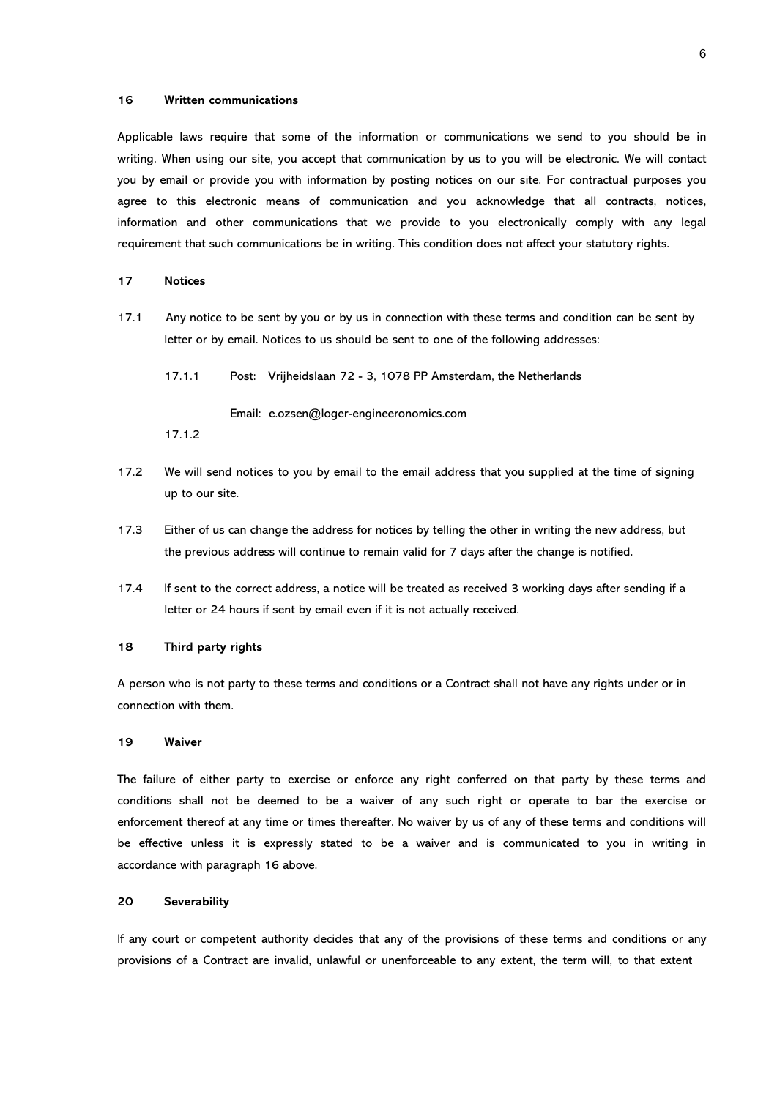#### **16 Written communications**

Applicable laws require that some of the information or communications we send to you should be in writing. When using our site, you accept that communication by us to you will be electronic. We will contact you by email or provide you with information by posting notices on our site. For contractual purposes you agree to this electronic means of communication and you acknowledge that all contracts, notices, information and other communications that we provide to you electronically comply with any legal requirement that such communications be in writing. This condition does not affect your statutory rights.

## **17 Notices**

- 17.1 Any notice to be sent by you or by us in connection with these terms and condition can be sent by letter or by email. Notices to us should be sent to one of the following addresses:
	- 17.1.1 Post: Vrijheidslaan 72 - 3, 1078 PP Amsterdam, the Netherlands

Email: e.ozsen@loger-engineeronomics.com

- 17.1.2
- 17.2 We will send notices to you by email to the email address that you supplied at the time of signing up to our site.
- 17.3 Either of us can change the address for notices by telling the other in writing the new address, but the previous address will continue to remain valid for 7 days after the change is notified.
- 17.4 If sent to the correct address, a notice will be treated as received 3 working days after sending if a letter or 24 hours if sent by email even if it is not actually received.

#### **18 Third party rights**

A person who is not party to these terms and conditions or a Contract shall not have any rights under or in connection with them.

#### **19 Waiver**

The failure of either party to exercise or enforce any right conferred on that party by these terms and conditions shall not be deemed to be a waiver of any such right or operate to bar the exercise or enforcement thereof at any time or times thereafter. No waiver by us of any of these terms and conditions will be effective unless it is expressly stated to be a waiver and is communicated to you in writing in accordance with [paragraph 1](http://commercial.practicallaw.com/2-201-7012?source=relatedcontent#a837313#a837313)6 above.

### **20 Severability**

If any court or competent authority decides that any of the provisions of these terms and conditions or any provisions of a Contract are invalid, unlawful or unenforceable to any extent, the term will, to that extent